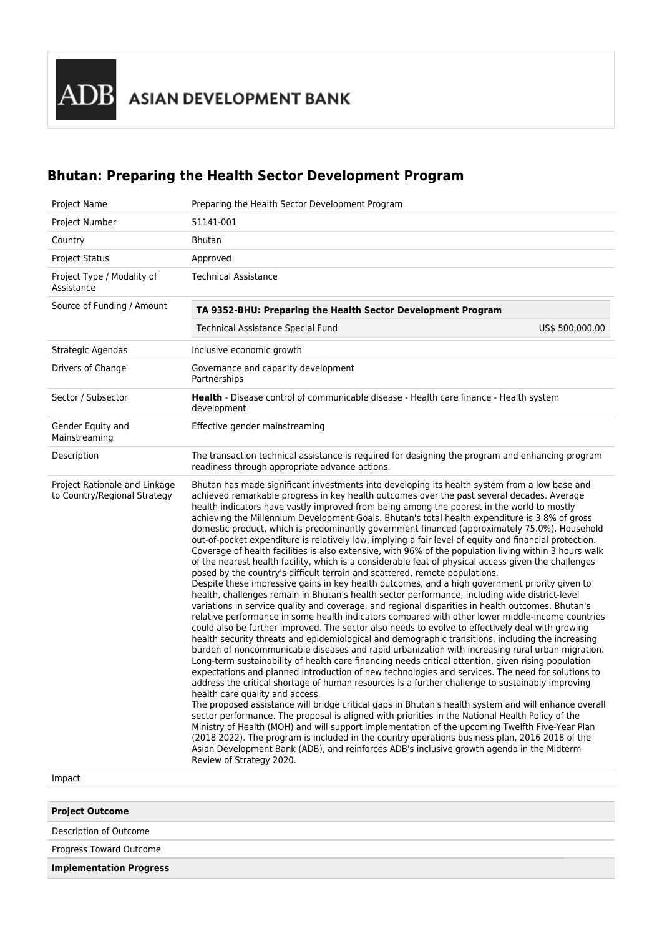ADB ASIAN DEVELOPMENT BANK

# **Bhutan: Preparing the Health Sector Development Program**

| Project Name                                                            | Preparing the Health Sector Development Program                                                                                                                                                                                                                                                                                                                                                                                                                                                                                                                                                                                                                                                                                                                                                                                                                                                                                                                                                                                                                                                                                                                                                                                                                                                                                                                                                                                                                                                                                                                                                                                                                                                                                                                                                                                                                                                                                                                                                                                                                                                                                                                                                                                                                                                                                                                                                                                                                                                                                |  |  |  |  |
|-------------------------------------------------------------------------|--------------------------------------------------------------------------------------------------------------------------------------------------------------------------------------------------------------------------------------------------------------------------------------------------------------------------------------------------------------------------------------------------------------------------------------------------------------------------------------------------------------------------------------------------------------------------------------------------------------------------------------------------------------------------------------------------------------------------------------------------------------------------------------------------------------------------------------------------------------------------------------------------------------------------------------------------------------------------------------------------------------------------------------------------------------------------------------------------------------------------------------------------------------------------------------------------------------------------------------------------------------------------------------------------------------------------------------------------------------------------------------------------------------------------------------------------------------------------------------------------------------------------------------------------------------------------------------------------------------------------------------------------------------------------------------------------------------------------------------------------------------------------------------------------------------------------------------------------------------------------------------------------------------------------------------------------------------------------------------------------------------------------------------------------------------------------------------------------------------------------------------------------------------------------------------------------------------------------------------------------------------------------------------------------------------------------------------------------------------------------------------------------------------------------------------------------------------------------------------------------------------------------------|--|--|--|--|
| Project Number                                                          | 51141-001                                                                                                                                                                                                                                                                                                                                                                                                                                                                                                                                                                                                                                                                                                                                                                                                                                                                                                                                                                                                                                                                                                                                                                                                                                                                                                                                                                                                                                                                                                                                                                                                                                                                                                                                                                                                                                                                                                                                                                                                                                                                                                                                                                                                                                                                                                                                                                                                                                                                                                                      |  |  |  |  |
| Country                                                                 | <b>Bhutan</b>                                                                                                                                                                                                                                                                                                                                                                                                                                                                                                                                                                                                                                                                                                                                                                                                                                                                                                                                                                                                                                                                                                                                                                                                                                                                                                                                                                                                                                                                                                                                                                                                                                                                                                                                                                                                                                                                                                                                                                                                                                                                                                                                                                                                                                                                                                                                                                                                                                                                                                                  |  |  |  |  |
| <b>Project Status</b>                                                   | Approved                                                                                                                                                                                                                                                                                                                                                                                                                                                                                                                                                                                                                                                                                                                                                                                                                                                                                                                                                                                                                                                                                                                                                                                                                                                                                                                                                                                                                                                                                                                                                                                                                                                                                                                                                                                                                                                                                                                                                                                                                                                                                                                                                                                                                                                                                                                                                                                                                                                                                                                       |  |  |  |  |
| Project Type / Modality of<br>Assistance                                | <b>Technical Assistance</b>                                                                                                                                                                                                                                                                                                                                                                                                                                                                                                                                                                                                                                                                                                                                                                                                                                                                                                                                                                                                                                                                                                                                                                                                                                                                                                                                                                                                                                                                                                                                                                                                                                                                                                                                                                                                                                                                                                                                                                                                                                                                                                                                                                                                                                                                                                                                                                                                                                                                                                    |  |  |  |  |
| Source of Funding / Amount                                              | TA 9352-BHU: Preparing the Health Sector Development Program                                                                                                                                                                                                                                                                                                                                                                                                                                                                                                                                                                                                                                                                                                                                                                                                                                                                                                                                                                                                                                                                                                                                                                                                                                                                                                                                                                                                                                                                                                                                                                                                                                                                                                                                                                                                                                                                                                                                                                                                                                                                                                                                                                                                                                                                                                                                                                                                                                                                   |  |  |  |  |
|                                                                         | US\$ 500,000.00<br><b>Technical Assistance Special Fund</b>                                                                                                                                                                                                                                                                                                                                                                                                                                                                                                                                                                                                                                                                                                                                                                                                                                                                                                                                                                                                                                                                                                                                                                                                                                                                                                                                                                                                                                                                                                                                                                                                                                                                                                                                                                                                                                                                                                                                                                                                                                                                                                                                                                                                                                                                                                                                                                                                                                                                    |  |  |  |  |
| Strategic Agendas                                                       | Inclusive economic growth                                                                                                                                                                                                                                                                                                                                                                                                                                                                                                                                                                                                                                                                                                                                                                                                                                                                                                                                                                                                                                                                                                                                                                                                                                                                                                                                                                                                                                                                                                                                                                                                                                                                                                                                                                                                                                                                                                                                                                                                                                                                                                                                                                                                                                                                                                                                                                                                                                                                                                      |  |  |  |  |
| Drivers of Change                                                       | Governance and capacity development<br>Partnerships                                                                                                                                                                                                                                                                                                                                                                                                                                                                                                                                                                                                                                                                                                                                                                                                                                                                                                                                                                                                                                                                                                                                                                                                                                                                                                                                                                                                                                                                                                                                                                                                                                                                                                                                                                                                                                                                                                                                                                                                                                                                                                                                                                                                                                                                                                                                                                                                                                                                            |  |  |  |  |
| Sector / Subsector                                                      | Health - Disease control of communicable disease - Health care finance - Health system<br>development                                                                                                                                                                                                                                                                                                                                                                                                                                                                                                                                                                                                                                                                                                                                                                                                                                                                                                                                                                                                                                                                                                                                                                                                                                                                                                                                                                                                                                                                                                                                                                                                                                                                                                                                                                                                                                                                                                                                                                                                                                                                                                                                                                                                                                                                                                                                                                                                                          |  |  |  |  |
| Gender Equity and<br>Mainstreaming                                      | Effective gender mainstreaming                                                                                                                                                                                                                                                                                                                                                                                                                                                                                                                                                                                                                                                                                                                                                                                                                                                                                                                                                                                                                                                                                                                                                                                                                                                                                                                                                                                                                                                                                                                                                                                                                                                                                                                                                                                                                                                                                                                                                                                                                                                                                                                                                                                                                                                                                                                                                                                                                                                                                                 |  |  |  |  |
| Description                                                             | The transaction technical assistance is required for designing the program and enhancing program<br>readiness through appropriate advance actions.                                                                                                                                                                                                                                                                                                                                                                                                                                                                                                                                                                                                                                                                                                                                                                                                                                                                                                                                                                                                                                                                                                                                                                                                                                                                                                                                                                                                                                                                                                                                                                                                                                                                                                                                                                                                                                                                                                                                                                                                                                                                                                                                                                                                                                                                                                                                                                             |  |  |  |  |
| Project Rationale and Linkage<br>to Country/Regional Strategy<br>Impact | Bhutan has made significant investments into developing its health system from a low base and<br>achieved remarkable progress in key health outcomes over the past several decades. Average<br>health indicators have vastly improved from being among the poorest in the world to mostly<br>achieving the Millennium Development Goals. Bhutan's total health expenditure is 3.8% of gross<br>domestic product, which is predominantly government financed (approximately 75.0%). Household<br>out-of-pocket expenditure is relatively low, implying a fair level of equity and financial protection.<br>Coverage of health facilities is also extensive, with 96% of the population living within 3 hours walk<br>of the nearest health facility, which is a considerable feat of physical access given the challenges<br>posed by the country's difficult terrain and scattered, remote populations.<br>Despite these impressive gains in key health outcomes, and a high government priority given to<br>health, challenges remain in Bhutan's health sector performance, including wide district-level<br>variations in service quality and coverage, and regional disparities in health outcomes. Bhutan's<br>relative performance in some health indicators compared with other lower middle-income countries<br>could also be further improved. The sector also needs to evolve to effectively deal with growing<br>health security threats and epidemiological and demographic transitions, including the increasing<br>burden of noncommunicable diseases and rapid urbanization with increasing rural urban migration.<br>Long-term sustainability of health care financing needs critical attention, given rising population<br>expectations and planned introduction of new technologies and services. The need for solutions to<br>address the critical shortage of human resources is a further challenge to sustainably improving<br>health care quality and access.<br>The proposed assistance will bridge critical gaps in Bhutan's health system and will enhance overall<br>sector performance. The proposal is aligned with priorities in the National Health Policy of the<br>Ministry of Health (MOH) and will support implementation of the upcoming Twelfth Five-Year Plan<br>(2018 2022). The program is included in the country operations business plan, 2016 2018 of the<br>Asian Development Bank (ADB), and reinforces ADB's inclusive growth agenda in the Midterm<br>Review of Strategy 2020. |  |  |  |  |

| <b>Project Outcome</b>         |  |
|--------------------------------|--|
| Description of Outcome         |  |
| Progress Toward Outcome        |  |
| <b>Implementation Progress</b> |  |
|                                |  |